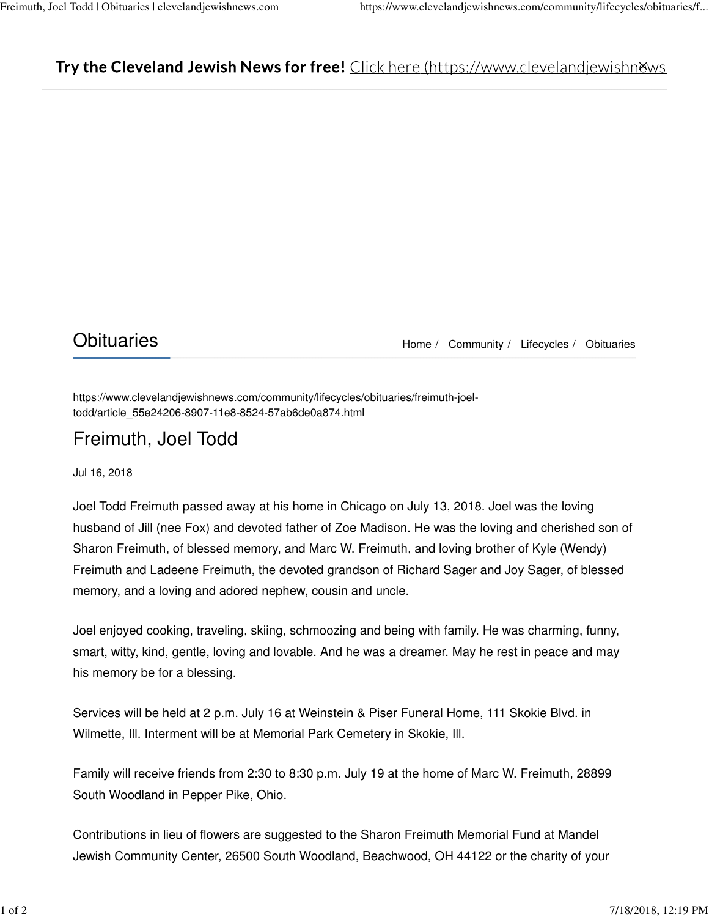## Try the Cleveland Jewish News for free! Click here (https://www.clevelandjewishnews)

Obituaries Material Material Memory Home / Community / Lifecycles / Obituaries

https://www.clevelandjewishnews.com/community/lifecycles/obituaries/freimuth-joeltodd/article\_55e24206-8907-11e8-8524-57ab6de0a874.html

## Freimuth, Joel Todd

Jul 16, 2018

Joel Todd Freimuth passed away at his home in Chicago on July 13, 2018. Joel was the loving husband of Jill (nee Fox) and devoted father of Zoe Madison. He was the loving and cherished son of Sharon Freimuth, of blessed memory, and Marc W. Freimuth, and loving brother of Kyle (Wendy) Freimuth and Ladeene Freimuth, the devoted grandson of Richard Sager and Joy Sager, of blessed memory, and a loving and adored nephew, cousin and uncle.

Joel enjoyed cooking, traveling, skiing, schmoozing and being with family. He was charming, funny, smart, witty, kind, gentle, loving and lovable. And he was a dreamer. May he rest in peace and may his memory be for a blessing.

Services will be held at 2 p.m. July 16 at Weinstein & Piser Funeral Home, 111 Skokie Blvd. in Wilmette, Ill. Interment will be at Memorial Park Cemetery in Skokie, Ill.

Family will receive friends from 2:30 to 8:30 p.m. July 19 at the home of Marc W. Freimuth, 28899 South Woodland in Pepper Pike, Ohio.

Contributions in lieu of flowers are suggested to the Sharon Freimuth Memorial Fund at Mandel Jewish Community Center, 26500 South Woodland, Beachwood, OH 44122 or the charity of your